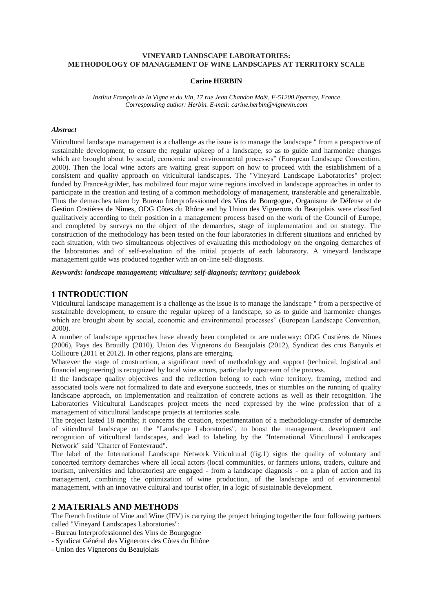## **VINEYARD LANDSCAPE LABORATORIES: METHODOLOGY OF MANAGEMENT OF WINE LANDSCAPES AT TERRITORY SCALE**

#### **Carine HERBIN**

*Institut Français de la Vigne et du Vin, 17 rue Jean Chandon Moët, F-51200 Epernay, France Corresponding author: Herbin. E-mail: carine.herbin@vignevin.com*

### *Abstract*

Viticultural landscape management is a challenge as the issue is to manage the landscape " from a perspective of sustainable development, to ensure the regular upkeep of a landscape, so as to guide and harmonize changes which are brought about by social, economic and environmental processes" (European Landscape Convention, 2000). Then the local wine actors are waiting great support on how to proceed with the establishment of a consistent and quality approach on viticultural landscapes. The "Vineyard Landscape Laboratories" project funded by FranceAgriMer, has mobilized four major wine regions involved in landscape approaches in order to participate in the creation and testing of a common methodology of management, transferable and generalizable. Thus the demarches taken by Bureau Interprofessionnel des Vins de Bourgogne, Organisme de Défense et de Gestion Costières de Nîmes, ODG Côtes du Rhône and by Union des Vignerons du Beaujolais were classified qualitatively according to their position in a management process based on the work of the Council of Europe, and completed by surveys on the object of the demarches, stage of implementation and on strategy. The construction of the methodology has been tested on the four laboratories in different situations and enriched by each situation, with two simultaneous objectives of evaluating this methodology on the ongoing demarches of the laboratories and of self-evaluation of the initial projects of each laboratory. A vineyard landscape management guide was produced together with an on-line self-diagnosis.

*Keywords: landscape management; viticulture; self-diagnosis; territory; guidebook*

## **1 INTRODUCTION**

Viticultural landscape management is a challenge as the issue is to manage the landscape " from a perspective of sustainable development, to ensure the regular upkeep of a landscape, so as to guide and harmonize changes which are brought about by social, economic and environmental processes" (European Landscape Convention, 2000).

A number of landscape approaches have already been completed or are underway: ODG Costières de Nîmes (2006), Pays des Brouilly (2010), Union des Vignerons du Beaujolais (2012), Syndicat des crus Banyuls et Collioure (2011 et 2012). In other regions, plans are emerging.

Whatever the stage of construction, a significant need of methodology and support (technical, logistical and financial engineering) is recognized by local wine actors, particularly upstream of the process.

If the landscape quality objectives and the reflection belong to each wine territory, framing, method and associated tools were not formalized to date and everyone succeeds, tries or stumbles on the running of quality landscape approach, on implementation and realization of concrete actions as well as their recognition. The Laboratories Viticultural Landscapes project meets the need expressed by the wine profession that of a management of viticultural landscape projects at territories scale.

The project lasted 18 months; it concerns the creation, experimentation of a methodology-transfer of demarche of viticultural landscape on the "Landscape Laboratories", to boost the management, development and recognition of viticultural landscapes, and lead to labeling by the "International Viticultural Landscapes Network" said "Charter of Fontevraud".

The label of the International Landscape Network Viticultural (fig.1) signs the quality of voluntary and concerted territory demarches where all local actors (local communities, or farmers unions, traders, culture and tourism, universities and laboratories) are engaged - from a landscape diagnosis - on a plan of action and its management, combining the optimization of wine production, of the landscape and of environmental management, with an innovative cultural and tourist offer, in a logic of sustainable development.

# **2 MATERIALS AND METHODS**

The French Institute of Vine and Wine (IFV) is carrying the project bringing together the four following partners called "Vineyard Landscapes Laboratories":

- Bureau Interprofessionnel des Vins de Bourgogne
- Syndicat Général des Vignerons des Côtes du Rhône
- Union des Vignerons du Beaujolais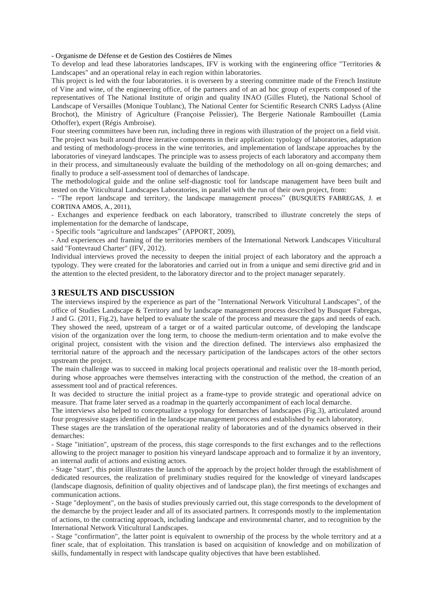- Organisme de Défense et de Gestion des Costières de Nîmes

To develop and lead these laboratories landscapes, IFV is working with the engineering office "Territories & Landscapes" and an operational relay in each region within laboratories.

This project is led with the four laboratories. it is overseen by a steering committee made of the French Institute of Vine and wine, of the engineering office, of the partners and of an ad hoc group of experts composed of the representatives of The National Institute of origin and quality INAO (Gilles Flutet), the National School of Landscape of Versailles (Monique Toublanc), The National Center for Scientific Research CNRS Ladyss (Aline Brochot), the Ministry of Agriculture (Françoise Pelissier), The Bergerie Nationale Rambouillet (Lamia Othoffer), expert (Régis Ambroise).

Four steering committees have been run, including three in regions with illustration of the project on a field visit. The project was built around three iterative components in their application: typology of laboratories, adaptation and testing of methodology-process in the wine territories, and implementation of landscape approaches by the laboratories of vineyard landscapes. The principle was to assess projects of each laboratory and accompany them in their process, and simultaneously evaluate the building of the methodology on all on-going demarches; and finally to produce a self-assessment tool of demarches of landscape.

The methodological guide and the online self-diagnostic tool for landscape management have been built and tested on the Viticultural Landscapes Laboratories, in parallel with the run of their own project, from:

- "The report landscape and territory, the landscape management process" (BUSQUETS FABREGAS, J. et CORTINA AMOS, A., 2011),

- Exchanges and experience feedback on each laboratory, transcribed to illustrate concretely the steps of implementation for the demarche of landscape,

- Specific tools "agriculture and landscapes" (APPORT, 2009),

- And experiences and framing of the territories members of the International Network Landscapes Viticultural said "Fontevraud Charter" (IFV, 2012).

Individual interviews proved the necessity to deepen the initial project of each laboratory and the approach a typology. They were created for the laboratories and carried out in from a unique and semi directive grid and in the attention to the elected president, to the laboratory director and to the project manager separately.

# **3 RESULTS AND DISCUSSION**

The interviews inspired by the experience as part of the "International Network Viticultural Landscapes", of the office of Studies Landscape & Territory and by landscape management process described by Busquet Fabregas, J and G. (2011, Fig.2), have helped to evaluate the scale of the process and measure the gaps and needs of each. They showed the need, upstream of a target or of a waited particular outcome, of developing the landscape vision of the organization over the long term, to choose the medium-term orientation and to make evolve the original project, consistent with the vision and the direction defined. The interviews also emphasized the territorial nature of the approach and the necessary participation of the landscapes actors of the other sectors upstream the project.

The main challenge was to succeed in making local projects operational and realistic over the 18-month period, during whose approaches were themselves interacting with the construction of the method, the creation of an assessment tool and of practical references.

It was decided to structure the initial project as a frame-type to provide strategic and operational advice on measure. That frame later served as a roadmap in the quarterly accompaniment of each local demarche.

The interviews also helped to conceptualize a typology for demarches of landscapes (Fig.3), articulated around four progressive stages identified in the landscape management process and established by each laboratory.

These stages are the translation of the operational reality of laboratories and of the dynamics observed in their demarches:

- Stage "initiation", upstream of the process, this stage corresponds to the first exchanges and to the reflections allowing to the project manager to position his vineyard landscape approach and to formalize it by an inventory, an internal audit of actions and existing actors.

- Stage "start", this point illustrates the launch of the approach by the project holder through the establishment of dedicated resources, the realization of preliminary studies required for the knowledge of vineyard landscapes (landscape diagnosis, definition of quality objectives and of landscape plan), the first meetings of exchanges and communication actions.

- Stage "deployment", on the basis of studies previously carried out, this stage corresponds to the development of the demarche by the project leader and all of its associated partners. It corresponds mostly to the implementation of actions, to the contracting approach, including landscape and environmental charter, and to recognition by the International Network Viticultural Landscapes.

- Stage "confirmation", the latter point is equivalent to ownership of the process by the whole territory and at a finer scale, that of exploitation. This translation is based on acquisition of knowledge and on mobilization of skills, fundamentally in respect with landscape quality objectives that have been established.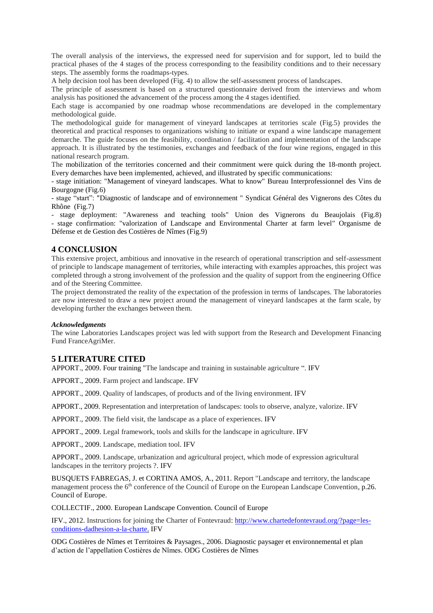The overall analysis of the interviews, the expressed need for supervision and for support, led to build the practical phases of the 4 stages of the process corresponding to the feasibility conditions and to their necessary steps. The assembly forms the roadmaps-types.

A help decision tool has been developed (Fig. 4) to allow the self-assessment process of landscapes.

The principle of assessment is based on a structured questionnaire derived from the interviews and whom analysis has positioned the advancement of the process among the 4 stages identified.

Each stage is accompanied by one roadmap whose recommendations are developed in the complementary methodological guide.

The methodological guide for management of vineyard landscapes at territories scale (Fig.5) provides the theoretical and practical responses to organizations wishing to initiate or expand a wine landscape management demarche. The guide focuses on the feasibility, coordination / facilitation and implementation of the landscape approach. It is illustrated by the testimonies, exchanges and feedback of the four wine regions, engaged in this national research program.

The mobilization of the territories concerned and their commitment were quick during the 18-month project. Every demarches have been implemented, achieved, and illustrated by specific communications:

- stage initiation: "Management of vineyard landscapes. What to know" Bureau Interprofessionnel des Vins de Bourgogne (Fig.6)

- stage "start": "Diagnostic of landscape and of environnement " Syndicat Général des Vignerons des Côtes du Rhône (Fig.7)

- stage deployment: "Awareness and teaching tools" Union des Vignerons du Beaujolais (Fig.8) - stage confirmation: "valorization of Landscape and Environmental Charter at farm level" Organisme de Défense et de Gestion des Costières de Nîmes (Fig.9)

# **4 CONCLUSION**

This extensive project, ambitious and innovative in the research of operational transcription and self-assessment of principle to landscape management of territories, while interacting with examples approaches, this project was completed through a strong involvement of the profession and the quality of support from the engineering Office and of the Steering Committee.

The project demonstrated the reality of the expectation of the profession in terms of landscapes. The laboratories are now interested to draw a new project around the management of vineyard landscapes at the farm scale, by developing further the exchanges between them.

### *Acknowledgments*

The wine Laboratories Landscapes project was led with support from the Research and Development Financing Fund FranceAgriMer.

# **5 LITERATURE CITED**

APPORT., 2009. Four training "The landscape and training in sustainable agriculture ". IFV

APPORT., 2009. Farm project and landscape. IFV

APPORT., 2009. Quality of landscapes, of products and of the living environment. IFV

APPORT., 2009. Representation and interpretation of landscapes: tools to observe, analyze, valorize. IFV

APPORT., 2009. The field visit, the landscape as a place of experiences. IFV

APPORT., 2009. Legal framework, tools and skills for the landscape in agriculture. IFV

APPORT., 2009. Landscape, mediation tool. IFV

APPORT., 2009. Landscape, urbanization and agricultural project, which mode of expression agricultural landscapes in the territory projects ?. IFV

BUSQUETS FABREGAS, J. et CORTINA AMOS, A., 2011. Report "Landscape and territory, the landscape management process the 6<sup>th</sup> conference of the Council of Europe on the European Landscape Convention, p.26. Council of Europe.

COLLECTIF., 2000. European Landscape Convention. Council of Europe

IFV., 2012. Instructions for joining the Charter of Fontevraud: [http://www.chartedefontevraud.org/?page=les](http://www.chartedefontevraud.org/?page=les-conditions-dadhesion-a-la-charte)[conditions-dadhesion-a-la-charte.](http://www.chartedefontevraud.org/?page=les-conditions-dadhesion-a-la-charte) IFV

ODG Costières de Nîmes et Territoires & Paysages., 2006. Diagnostic paysager et environnemental et plan d'action de l'appellation Costières de Nîmes. ODG Costières de Nîmes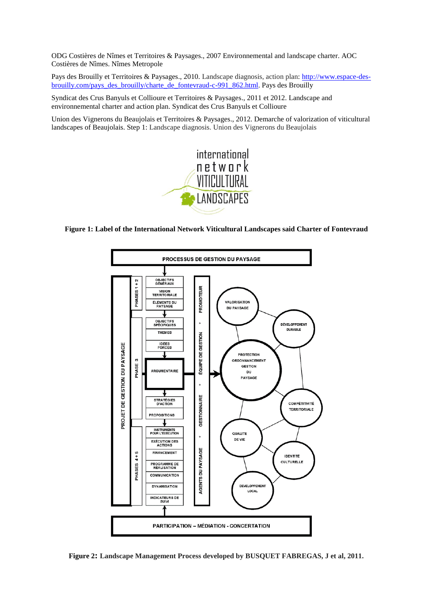ODG Costières de Nîmes et Territoires & Paysages., 2007 Environnemental and landscape charter. AOC Costières de Nîmes. Nîmes Metropole

Pays des Brouilly et Territoires & Paysages., 2010. Landscape diagnosis, action plan: [http://www.espace-des](http://www.espace-des-brouilly.com/pays_des_brouilly/charte_de_fontevraud-c-991_862.html)[brouilly.com/pays\\_des\\_brouilly/charte\\_de\\_fontevraud-c-991\\_862.html.](http://www.espace-des-brouilly.com/pays_des_brouilly/charte_de_fontevraud-c-991_862.html) Pays des Brouilly

Syndicat des Crus Banyuls et Collioure et Territoires & Paysages., 2011 et 2012. Landscape and environnemental charter and action plan. Syndicat des Crus Banyuls et Collioure

Union des Vignerons du Beaujolais et Territoires & Paysages., 2012. Demarche of valorization of viticultural landscapes of Beaujolais. Step 1: Landscape diagnosis. Union des Vignerons du Beaujolais



## **Figure 1: Label of the International Network Viticultural Landscapes said Charter of Fontevraud**



**Figure 2: Landscape Management Process developed by BUSQUET FABREGAS, J et al, 2011***.*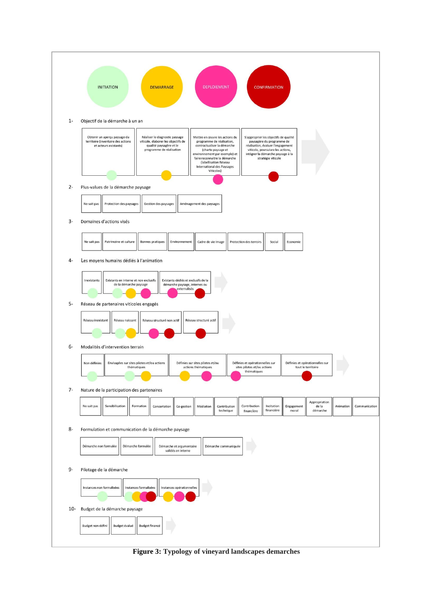

**Figure 3: Typology of vineyard landscapes demarches**